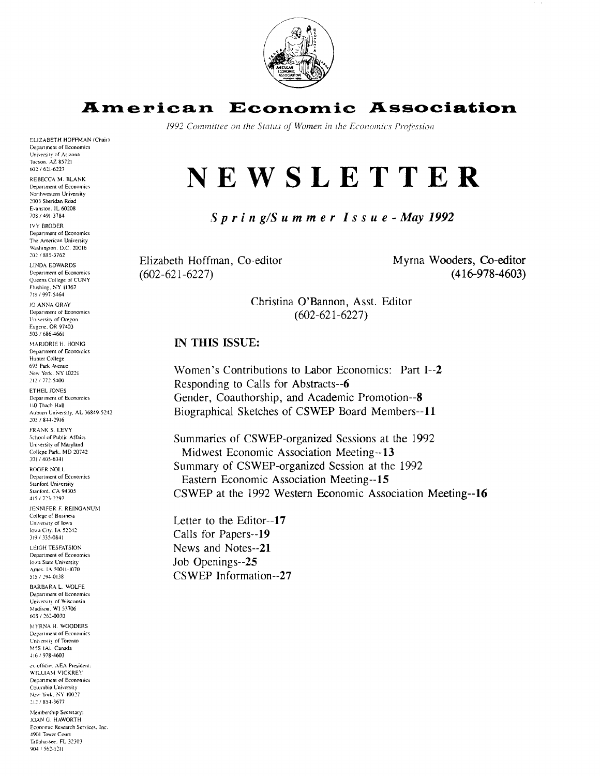

#### **Economic Association** American

1992 Committee on the Status of Women in the Economics Profession

# NEWSLETTER

 $Spri n g/S u m m e r I s s u e - May 1992$ 

Elizabeth Hoffman, Co-editor  $(602 - 621 - 6227)$ 

Myrna Wooders, Co-editor  $(416-978-4603)$ 

Christina O'Bannon, Asst. Editor  $(602 - 621 - 6227)$ 

## IN THIS ISSUE:

Women's Contributions to Labor Economics: Part I--2 Responding to Calls for Abstracts--6 Gender, Coauthorship, and Academic Promotion--8 Biographical Sketches of CSWEP Board Members--11

Summaries of CSWEP-organized Sessions at the 1992 Midwest Economic Association Meeting--13 Summary of CSWEP-organized Session at the 1992 Eastern Economic Association Meeting--15 CSWEP at the 1992 Western Economic Association Meeting--16

Letter to the Editor--17 Calls for Papers--19 News and Notes--21 Job Openings--25 CSWEP Information--27

Tucson, AZ 85721 602/621-6227 REBECCA M. BLANK Department of Economics Northwestern University 2003 Sheridan Road Evanston, IL 60208 708 / 491-3784 **IVY BRODER** Department of Economics The American University Washington, D.C. 20016 202 / 885-3762 **LINDA EDWARDS** Department of Economics Queens College of CUNY Flushing, NY 11367 718 / 997-5464 JO ANNA GRAY

ELIZABETH HOFFMAN (Chair) Department of Economics University of Arizona

Department of Economics University of Oregon Eugene, OR 97403  $503/686 - 4661$ MARJORIE H. HONIG Department of Economics

Hunter College 695 Park Avenue New York, NY 10221 212 / 772-5400

ETHEL JONES Department of Economics 110 Thach Hall Auburn University, AL 36849-5242 205 / 844-2916

FRANK S. LEVY School of Public Affairs University of Maryland College Park, MD 20742 301 / 405-6341

ROGER NOLL Department of Economics **Stanford University** Stanford, CA 94305

415 / 723-2297 JENNIFER F. REINGANUM College of Business University of Iowa

lowa City, IA 52242 319 / 335-0841 **LEIGH TESEATSION** 

Department of Economics Iowa State University Ames. 1A 50011-1070 515 / 294-0138

BARBARA L. WOLFE Department of Economics University of Wisconsin<br>Madison, WI 53706 608 / 262-0030

MYRNA H. WOODERS Department of Economics University of Toronto M5S 1A1, Canada 416 / 978-4603

ex-officio. AEA President: WILLIAM VICKREY Department of Economics Columbia University New York, NY 10027 212 / 854-3677

Membership Secretary: JOAN G. HAWORTH Economic Research Services, Inc. 4901 Tower Court Tallahassee, FL 32303 904 / 562-1211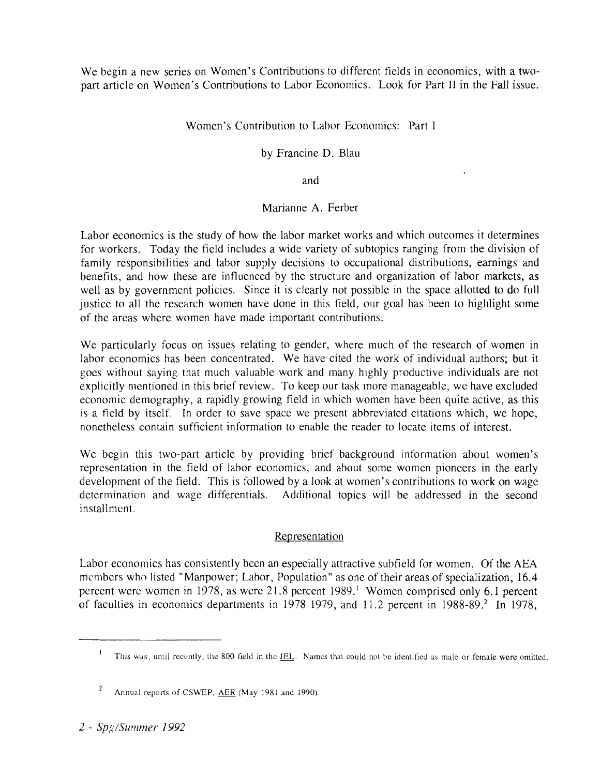We begin a new series on Women's Contributions to different fields in economics, with a twopart article on Women's Contributions to Labor Economics. Look for Part I1 in the Fall issue.

# Women's Contribution to Labor Economics: Part I

by Francine D. Blau

and

# Marianne A. Ferber

Labor economics is the study of how the labor market works and which outcomes it determines for workers. Today the field includes a wide variety of subtopics ranging from the division of family responsibilities and labor supply decisions to occupational distributions, earnings and benefits, and how these are influenced by the structure and organization of labor markets, as well as by government policies. Since it is clearly not possible in the space allotted to do full justice to all the research women have done in this field, our goal has been to highlight some of the areas where women have made important contributions.

We particularly focus on issues relating to gender, where much of the research of women in labor economics has been concentrated. We have cited the work of individual authors; but it goes without saying that much valuable work and many highly productive individuals are not explicitly mentioned in this brief review. To keep our task more manageable, we have excluded economic demography, a rapidly growing field in which women have been quite active, as this is a field by itself. In order to save space we present abbreviated citations which, we hope, nonetheless contain sufficient information to enable the reader to locate items of interest.

We begin this two-part article by providing brief background information about women's representation in the field of labor economics, and about some women pioneers in the early development of the field. This is followed by a look at women's contributions to work on wage determination and wage differentials. Additional topics will be addressed in the second installment.

# Representation

Labor economics has consistently been an especially attractive subfield for women. Of the AEA members who listed "Manpower; Labor, Population" as one of their areas of specialization, 16.4 percent were women in 1978, as were 21.8 percent 1989.<sup>1</sup> Women comprised only 6.1 percent of faculties in economics departments in 1978-1979, and 11.2 percent in 1988-89.<sup>2</sup> In 1978,

*2* - *Spg/Summer 1992* 

<sup>&</sup>lt;sup>1</sup> This was, until recently, the 800 field in the JEL. Names that could not be identified as male or female were omitted.

 $\overline{2}$ Annual reports of CSWEP, AER (May 1981 and 1990).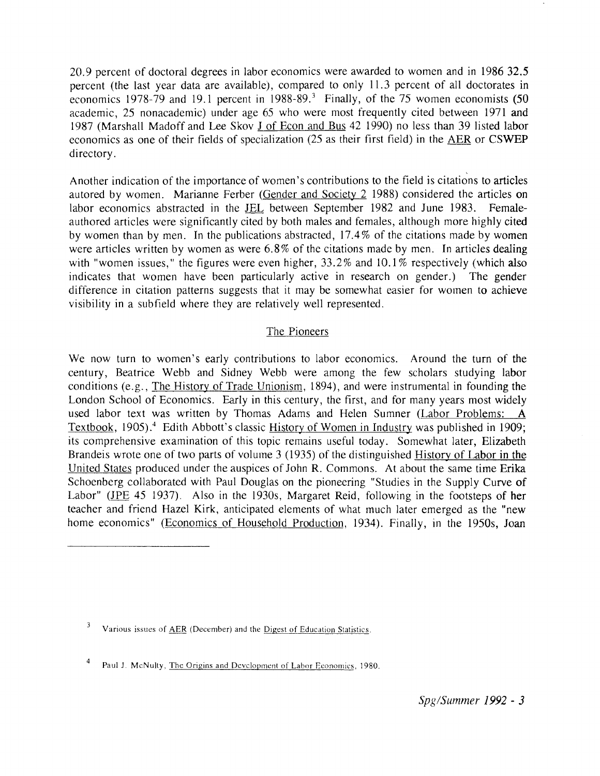20.9 percent of doctoral degrees in labor economics were awarded to women and in 1986 32.5 percent (the last year data are available), compared to only 11.3 percent of all doctorates in economics 1978-79 and 19.1 percent in  $1988-89$ <sup>3</sup> Finally, of the 75 women economists (50 academic, 25 nonacademic) under age 65 who were most frequently cited between 1971 and 1987 (Marshall Madoff and Lee Skov J of Econ and Bus 42 1990) no less than 39 listed labor economics as one of their fields of specialization (25 as their first field) in the AER or CSWEP directory.

Another indication of the importance of women's contributions to the field is citations to articles autored by women. Marianne Ferber (Gender and Society 2 1988) considered the articles on labor economics abstracted in the JEL between September 1982 and June 1983. Femaleauthored articles were significantly cited by both males and females, although more highly cited by women than by men. In the publications abstracted, 17.4% of the citations made by women were articles written by women as were 6.8% of the citations made by men. In articles dealing with "women issues," the figures were even higher, 33.2% and 10.1% respectively (which also indicates that women have been particularly active in research on gender.) The gender difference in citation patterns suggests that it may be somewhat easier for women to achieve visibility in a subfield where they are relatively well represented.

## The Pioneers

We now turn to women's early contributions to labor economics. Around the turn of the century, Beatrice Webb and Sidney Webb were among the few scholars studying labor conditions (e.g., The Historv of Trade Unionism, 1894), and were instrumental in founding the London School of Economics. Early in this century, the first, and for many years most widely used labor text was written by Thomas Adams and Helen Sumner (Labor Problems: A Textbook, 1905).<sup>4</sup> Edith Abbott's classic History of Women in Industry was published in 1909; its comprehensive examination of this topic remains useful today. Somewhat later, Elizabeth Brandeis wrote one of two parts of volume 3 (1935) of the distinguished History of Labor in the United States produced under the auspices of John R. Commons. At about the same time Erika Schoenberg collaborated with Paul Douglas on the pioneering "Studies in the Supply Curve of Labor" (JPE 45 1937). Also in the 1930s, Margaret Reid, following in the footsteps of her teacher and friend Hazel Kirk, anticipated elements of what much later emerged as the "new home economics" (Economics of Household Production, 1934). Finally, in the 1950s, Joan

 $\mathbf{3}$ Various issues of AER (December) and the Digest of Education Statistics.

 $\overline{\mathbf{4}}$ Paul J. McNulty, The Origins and Development of Labor Economics, 1980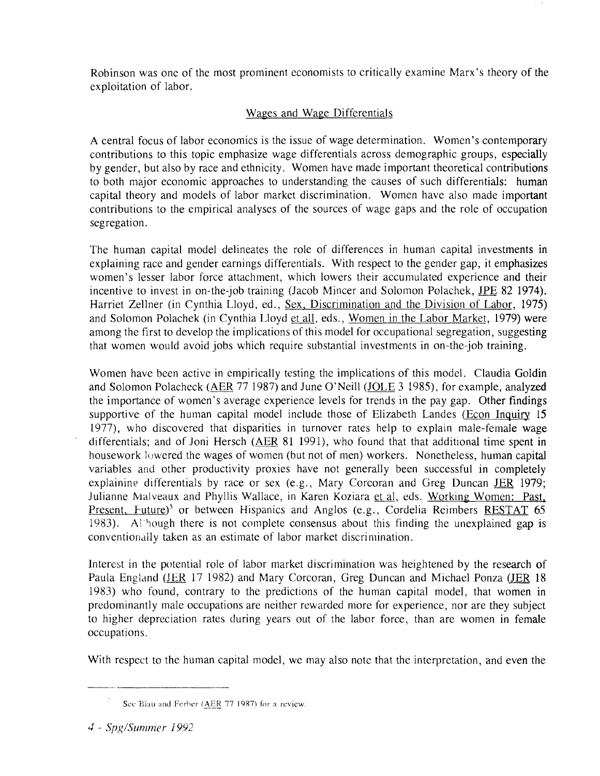Robinson was one of the most prominent economists to critically examine Marx's theory of the exploitation of labor.

# Wages and Wage Differentials

A central focus of labor economics is the issue of wage determination. Women's contemporary contributions to this topic emphasize wage differentials across demographic groups, especially by gender, but also by race and ethnicity. Women have made important theoretical contributions to both major economic approaches to understanding the causes of such differentials: human capital theory and models of labor market discrimination. Women have also made important contributions to the empirical analyses of the sources of wage gaps and the role of occupation segregation.

The human capital model delineates the role of differences in human capital investments in explaining race and gender earnings differentials. With respect to the gender gap, it emphasizes women's lesser labor force attachment, which lowers their accumulated experience and their incentive to invest in on-the-job training (Jacob Mincer and Solomon Polachek, JPE 82 1974). Harriet Zellner (in Cynthia Lloyd, ed., Sex, Discrimination and the Division of Labor, 1975) and Solomon Polachek (in Cynthia Lloyd et all, eds., Women in the Labor Market, 1979) were among the first to develop the implications of this model for occupational segregation, suggesting that women would avoid jobs which require substantial investments in on-the-job training.

Women have been active in empirically testing the implications of this model. Claudia Goldin and Solomon Polacheck (AER 77 1987) and June O'Neill (JOLE 3 1985), for example, analyzed the importance of women's average experience levels for trends in the pay gap. Other findings supportive of the human capital model include those of Elizabeth Landes (Econ Inquiry 15 1977), who discovered that disparities in turnover rates help to explain male-female wage differentials; and of Joni Hersch (AER 81 1991), who found that that additional time spent in housework **Ic** wered the wages of women (but not of men) workers. Nonetheless, human capital variables and other productivity proxies have not generally been successful in completely explaining differentials by race or sex (e.g., Mary Corcoran and Greg Duncan *JER* 1979; variables and other productivity proxies have not generally been successful in completely<br>explaining differentials by race or sex (e.g., Mary Corcoran and Greg Duncan <u>JER</u> 1979;<br>Julianne Malveaux and Phyllis Wallace, in K Present, Future)<sup>5</sup> or between Hispanics and Anglos (e.g., Cordelia Reimbers RESTAT  $65$ 1983). Although there is not complete consensus about this finding the unexplained gap is conventionally taken as an estimate of labor market discrimination.

Interest in the potential role of labor market discrimination was heightened by the research of Paula England (JER 17 1982) and Mary Corcoran, Greg Duncan and Michael Ponza (JER 18 1983) who found, contrary to the predictions of the human capital model, that women in predominantly male occupations are neither rewarded more for experience, nor are they subject to higher depreciation rates during years out of the labor force, than are women in female occupations.

With respect to the human capital model, we may also note that the interpretation, and even the

Sec Biau and Ferber (AER 77 1987) for a review.

<sup>4 -</sup> Spg/Summer 1992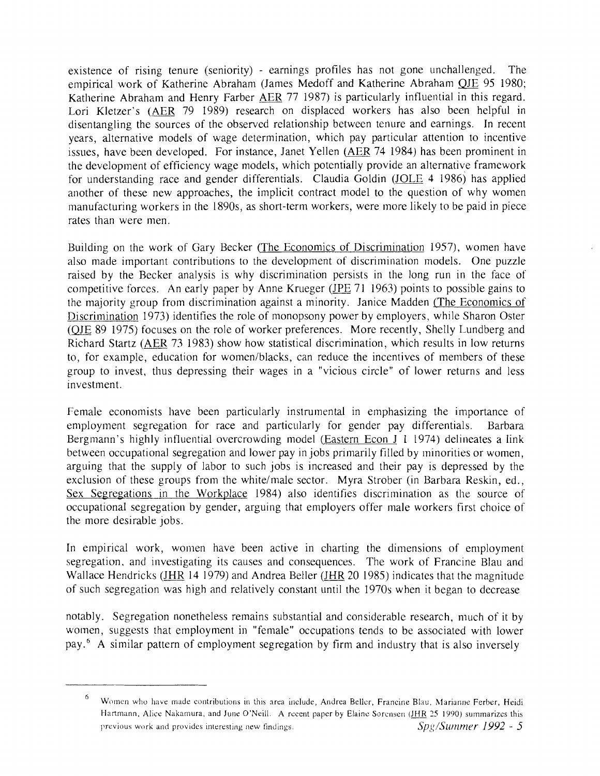existence of rising tenure (seniority) - earnings profiles has not gone unchallenged. The empirical work of Katherine Abraham (James Medoff and Katherine Abraham OJE 95 1980; Katherine Abraham and Henry Farber AER 77 1987) is particularly influential in this regard. Lori Kletzer's (AER 79 1989) research on displaced workers has also been helpful in disentangling the sources of the observed relationship between tenure and earnings. In recent years, alternative models of wage determination, which pay particular attention to incentive issues, have been developed. For instance, Janet Yellen (AER 74 1984) has been prominent in the development of efficiency wage models, which potentially provide an alternative framework for understanding race and gender differentials. Claudia Goldin (JOLE 4 1986) has applied another of these new approaches, the implicit contract model to the question of why women manufacturing workers in the 1890s, as short-term workers, were more likely to be paid in piece rates than were men.

Building on the work of Gary Becker (The Economics of Discrimination 1957), women have also made important contributions to the development of discrimination models. One puzzle raised by the Becker analysis is why discrimination persists in the long run in the face of competitive forces. An early paper by Anne Krueger ( $IPE$  71 1963) points to possible gains to the majority group from discrimination against a minority. Janice Madden (The Economics of Discrimination 1973) identifies the role of monopsony power by employers, while Sharon Oster (OJE 89 1975) focuses on the role of worker preferences. More recently, Shelly Lundberg and Richard Startz (AER 73 1983) show how statistical discrimination, which results in low returns to, for example, education for women/blacks, can reduce the incentives of members of these group to invest, thus depressing their wages in a "vicious circle" of lower returns and less investment.

Female economists have been particularly instrumental in emphasizing the importance of employment segregation for race and particularly for gender pay differentials. Barbara Bergmann's highly influential overcrowding model (Eastern Econ J 1 1974) delineates a link between occupational segregation and lower pay in jobs primarily filled by minorities or women, arguing that the supply of labor to such jobs is increased and their pay is depressed by the exclusion of these groups from the white/male sector. Myra Strober (in Barbara Reskin, ed., Sex Segregations in the Workplace 1984) also identifies discrimination as the source of occupational segregation by gender, arguing that employers offer male workers first choice of the more desirable jobs.

In empirical work, women have been active in charting the dimensions of employment segregation. and investigating its causes and consequences. The work of Francine Blau and Wallace Hendricks ( $\underline{JHR}$  14 1979) and Andrea Beller ( $\underline{JHR}$  20 1985) indicates that the magnitude of such segregation was high and relatively constant until the 1970s when it began to decrease

notably. Segregation nonetheless remains substantial and considerable research, much of it by women, suggests that employment in "female" occupations tends to be associated with lower pay.' A similar pattern of employment segregation by firm and industry that is also inversely

Women who have made contributions in this area include, Andrea Beller, Francine Blau, Marianne Ferber, Heidi Hartmann, Alice Nakamura, and June O'Neill. A recent paper by Elaine Sorensen (JHR 25 1990) summarizes this previous work and provides interesting new findings. Spg/Summer 1992 - 5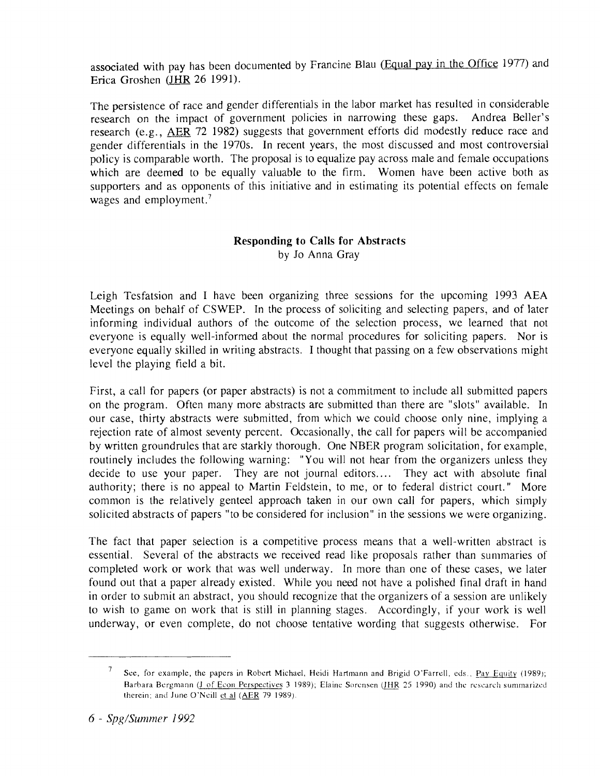associated with pay has been documented by Francine Blau (Equal pay in the Office 1977) and Erica Groshen (JHR 26 1991).

The persistence of race and gender differentials in the labor market has resulted in considerable<br>research on the impact of government policies in narrowing these gaps. Andrea Beller's research on the impact of government policies in narrowing these gaps. research (e.g., AER 72 1982) suggests that government efforts did modestly reduce race and gender differentials in the 1970s. In recent years, the most discussed and most controversial policy is comparable worth. The proposal is to equalize pay across male and female occupations which are deemed to be equally valuable to the firm. Women have been active both as supporters and as opponents of this initiative and in estimating its potential effects on female wages and employment. $<sup>7</sup>$ </sup>

# **Responding to Calls for Abstracts**  by Jo Anna Gray

Leigh Tesfatsion and I have been organizing three sessions for the upcoming 1993 AEA Meetings on behalf of CSWEP. In the process of soliciting and selecting papers, and of later informing individual authors of the outcome of the selection process, we learned that not everyone is equally well-informed about the normal procedures for soliciting papers. Nor is everyone equally skilled in writing abstracts. I thought that passing on a few observations might level the playing field a bit.

First, a call for papers (or paper abstracts) is not a commitment to include all submitted papers on the program. Often many more abstracts are submitted than there are "slots" available. In our case, thirty abstracts were submitted, from which we could choose only nine, implying a rejection rate of almost seventy percent. Occasionally, the call for papers will be accompanied by written groundrules that are starkly thorough. One NBER program solicitation, for example, routinely includes the following warning: "You will not hear from the organizers unless they decide to use your paper. They are not journal editors.... They act with absolute final authority; there is no appeal to Martin Feldstein, to me, or to federal district court." More common is the relatively genteel approach taken in our own call for papers, which simply solicited abstracts of papers "to be considered for inclusion" in the sessions we were organizing.

The fact that paper seiection is a competitive process means that a well-written abstract is essential. Several of the abstracts we received read like proposals rather than sunimaries of completed work or work that was well underway. In more than one of these cases, we later found out that a paper already existed. While you need not have a polished final draft in hand in order to submit an abstract, you should recognize that the organizers of a session are unlikely to wish to game on work that is still in planning stages. Accordingly, if your work is well underway, or even complete, do not choose tentative wording that suggests otherwise. For

 $\overline{7}$ See, for example, the papers in Robert Michael, Heidi Hartmann and Brigid O'Farrell, eds., Pay Equity (1989); Barbara Bergmann (J of Econ Perspectives 3 1989); Elaine Sorensen (JHR 25 1990) and the research summarized therein; and June O'Neill *et al (AER 79 1989)*.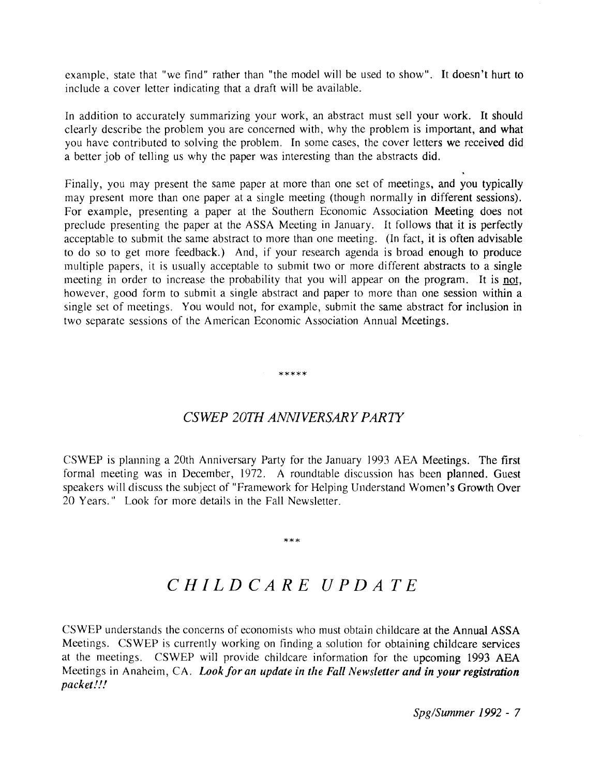example, state that "we find" rather than "the model will be used to show". It doesn't hurt to include a cover letter indicating that a draft will be available.

In addition to accurately summarizing your work, an abstract must sell your work. It should clearly describe the problem you are concerned with, why the problem is important, and what you have contributed to solving the problem. In some cases, the cover letters we received did a better job of telling us why the paper was interesting than the abstracts did.

Finally, you may present the same paper at more than one set of meetings, and you typically may present more than one paper at a single meeting (though normally in different sessions). For example, presenting a paper at the Southern Economic Association Meeting does not preclude presenting the paper at the ASSA Meeting in January. It follows that if is perfectly acceptable to submit the same abstract to more than one meeting. (In fact, it is often advisable to do so to get more feedback.) And, if your research agenda is broad enough to produce multiple papers, it is usually acceptable to submit two or more different abstracts to a single meeting in order to increase the probability that you will appear on the program. It is not, however, good form to submit a single abstract and paper to more than one session within a single set of meetings. You would not, for example, submit the same abstract for inclusion in two separate sessions of the American Economic Association Annual Meetings.

# *CSWEP 20111 ANNIVERSARY PARTY*

\*\*\*\*\*

CSWEP is planning a 20th Anniversary Party for the January 1993 AEA Meetings. The first formal meeting was in December, 1972. A roundtable discussion has been planned. Guest speakers will discuss the subject of "Framework for Helping Understand Women's Growth Over 20 Years." Look for more details in the Fall Newsletter.

#### $***$

# *CHILDCARE UPDATE*

CSWEP understands the concerns of economists who must obtain childcare at the Annual ASSA Meetings. CSWEP is currently working on finding a solution for obtaining childcare services at the meetings. CSWEP will provide childcare information for the upcoming 1993 AEA Meetings in Anaheim, CA. *Look for an updaie in the Fall Newsletter and in your registration packet!!!* 

Spg/Summer 1992 - 7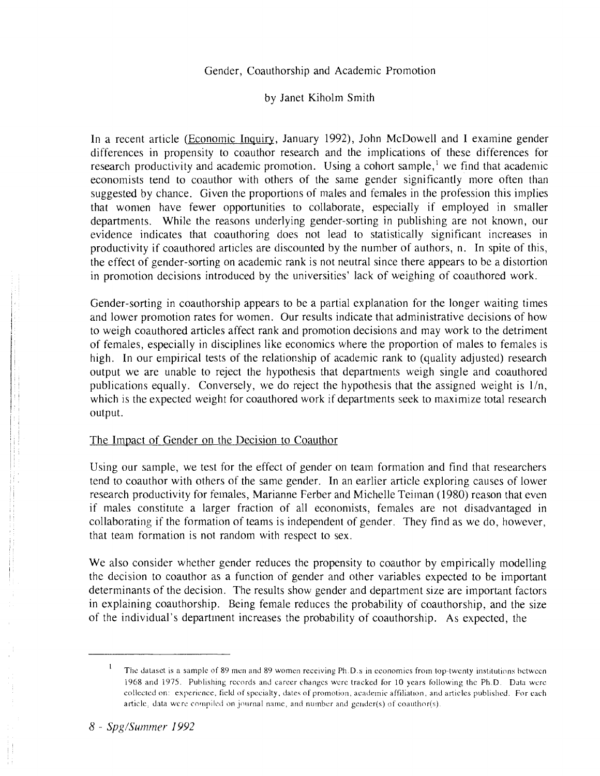### Gender, Coauthorship and Academic Promotion

by Janet Kiholm Smith

In a recent article (Economic Inquiry, January 1992), John McDowell and I examine gender differences in propensity to coauthor research and the implications of these differences for research productivity and academic promotion. Using a cohort sample,<sup>1</sup> we find that academic economists tend to coauthor with others of the same gender significantly more often than suggested by chance. Given the proportions of males and females in the profession this implies that women have fewer opportunities to collaborate, especially if employed in smaller departments. While the reasons underlying gender-sorting in publishing are not known, our evidence indicates that coauthoring does not lead to statistically significant increases in productivity if coauthored articles are discounted by the number of authors, n. In spite of this, the effect of gender-sorting on academic rank is not neutral since there appears to be a distortion in promotion decisions introduced by the universities' lack of weighing of coauthored work.

Gender-sorting in coauthorship appears to be a partial explanation for the longer waiting times and lower promotion rates for women. Our results indicate that administrative decisions of how to weigh coauthored articles affect rank and promotion decisions and may work to the detriment of females, especially in disciplines like economics where the proportion of males to females is high. In our empirical tests of the relationship of academic rank to (quality adjusted) research output we are unable to reject the hypothesis that departments weigh single and coauthored publications equally. Conversely, we do reject the hypothesis that the assigned weight is  $1/n$ , which is the expected weight for coauthored work if departments seek to maximize total research output.

#### The Impact of Gender on the Decision to Coauthor

Using our sample, we test for the effect of gender on team formation and find that researchers tend to coauthor with others of the same gender. In an earlier article exploring causes of lower research productivity for females, Marianne Ferber and Michelle Teiman (1980) reason that even if males constitute a larger fraction of all economists, females are not disadvantaged in collaborating if the formation of teams is independent of gender. They find as we do, however, that team formation is not random with respect to sex.

We also consider whether gender reduces the propensity to coauthor by empirically modelling the decision to coauthor as a function of gender and other variables expected to be important determinants of the decision. The results show gender and department size are important factors in explaining coauthorship. Being female reduces the probability of coauthorship, and the size of the individual's department increases the probability of coauthorship. As expected, the

The dataset is a sample of 89 men and 89 women receiving Ph.D.s in economics from top-twenty institutions between 1968 and 1975. Publishing records and career changes werc tracked for 10 years following the Ph.D. Data werc collected on: experience, field of specialty, dates of promotion, academic affiliation, and articles published. For each article, data were compiled on journal name, and number and gender(s) of coauthor(s).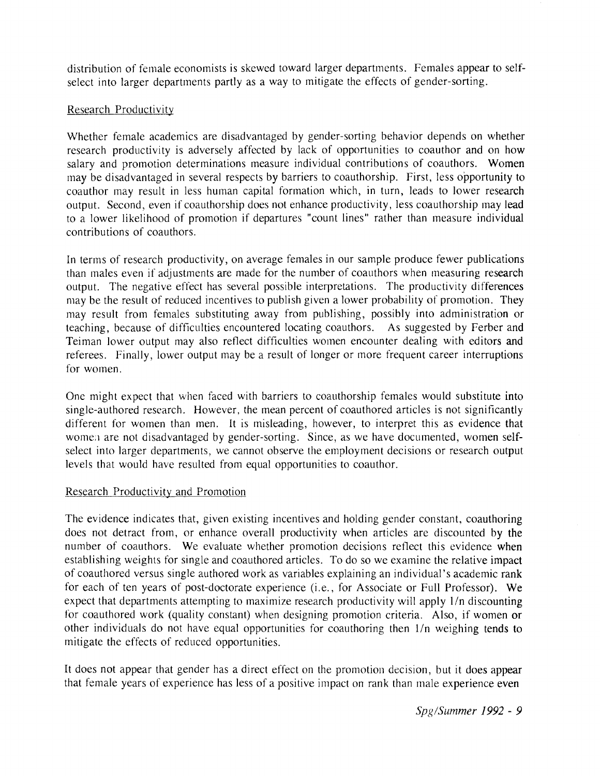distribution of female economists is skewed toward larger departments. Females appear to selfselect into larger departments partly as a way to mitigate the effects of gender-sorting.

# Research Productivity

Whether female academics are disadvantaged by gender-sorting behavior depends on whether research productivity is adversely affected by lack of opportunities to coauthor and on how salary and promotion determinations measure individual contributions of coauthors. Women may be disadvantaged in several respects by barriers to coauthorship. First, less opportunity to coauthor may result in less human capital formation which, in turn, leads to lower research output. Second, even if coauthorship does not enhance productivity, less coauthorship may lead to a lower likelihood of promotion if departures "count lines" rather than measure individual contributions of coauthors.

In terms of research productivity, on average females in our sample produce fewer publications than males even if adjustments are made for the number of coauthors when measuring research output. The negative effect has several possible interpretations. The productivity differences may be the result of reduced incentives to publish given a lower probability of promotion. They may result from females substituting away from publishing, possibly into administration or teaching, because of difficulties encountered locating coauthors. As suggested by Ferber and Teiman lower output may also reflect difficulties women encounter dealing with editors and referees. Finally, lower output may be a result of longer or more frequent career interruptions for women.

One might expect that when faced with barriers to coauthorship females would substitute into single-authored research. However, the mean percent of coauthored articles is not significantly different for women than men. It is misleading, however, to interpret this as evidence that women are not disadvantaged by gender-sorting. Since, as we have documented, women selfselect into larger departments, we cannot observe the employment decisions or research output levels that would have resulted from equal opportunities to coauthor.

# Research Productivity and Promotion

The evidence indicates that, given existing incentives and holding gender constant, coauthoring does not detract from, or enhance overall productivity when articles are discounted by the number of coauthors. We evaluate whether promotion decisions reflect this evidence when establishing weights for single and coauthored articles. To do so we examine the relative impact of coauthored versus single authored work as variables explaining an individual's academic rank for each of ten years of post-doctorate experience (i.e., for Associate or Full Professor). We expect that departments attempting to maximize research productivity will apply 1/n discounting for coauthored work (quality constant) when designing promotion criteria. Also, if women or other individuals do not have equal opportunities for coauthoring then l/n weighing tends to mitigate the effects of reduced opportunities.

It does not appear that gender has a direct effect on the promotion decision, but it does appear that female years of experience has less of a positive impact on rank than male experience even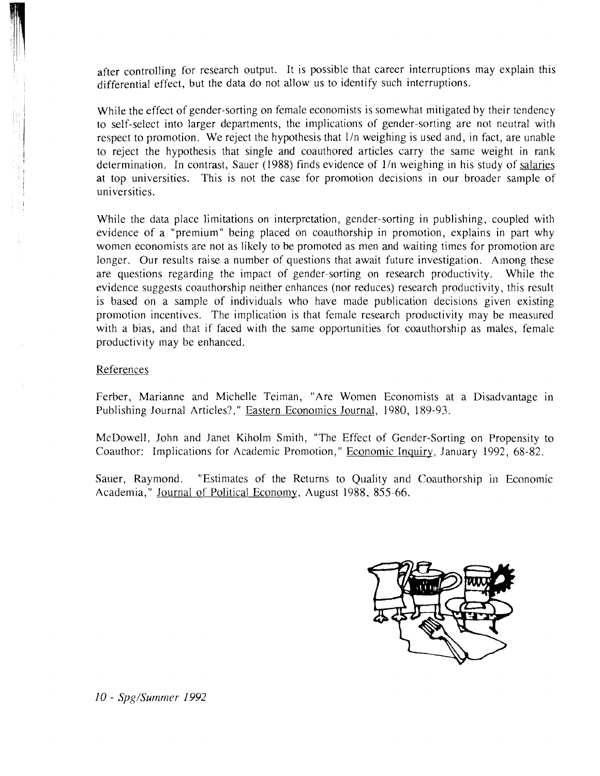after controlling for research output. It is possible that career interruptions may explain this differential effect, but the data do not allow us to identify such interruptions.

While the effect of gender-sorting on female economists is somewhat mitigated by their tendency to self-select into larger departments, the implications of gender-sorting are not neutral with respect to promotion. We reject the hypothesis that  $1/n$  weighing is used and, in fact, are unable to reject the hypothesis that single and coauthored articles carry the same weight in rank determination. In contrast, Sauer (1988) finds evidence of  $1/n$  weighing in his study of salaries at top universities. This is not the case for promotion decisions in our broader sample of universities.

While the data place limitations on interpretation, gender-sorting in publishing, coupled with evidence of a "premium" being placed on coauthorship in promotion, explains in part why women economists are not as likely to be promoted as men and waiting times for promotion are longer. Our results raise a number of questions that await future investigation. Among these are questions regarding the impact of gender-sorting on research productivity. While the evidence suggests coauthorship neither enhances (nor reduces) research productivity, this result is based on a sample of individuals who have made publication decisions given existing promotion incentives. The implication is that female research productivity may be measured with a bias, and that if faced with the same opportunities for coauthorship as males, female productivity may be enhanced.

#### References

Ferber, Marianne and Michelle Teiman, "Are Women Economists at a Disadvantage in Publishing Journal Articles?," Eastern Economics Journal, 1980, 189-93.

McDowell, John and Janet Kiholm Smith, "The Effect of Gender-Sorting on Propensity to Coauthor: Implications for Academic Promotion," Economic Inquiry, January 1992, 68-82.

Sauer, Raymond. "Estimates of the Returns to Quality and Coauthorship in Economic Academia," Journal of Political Economy, August 1988, 855-66.



10 - Spg/Summer 1992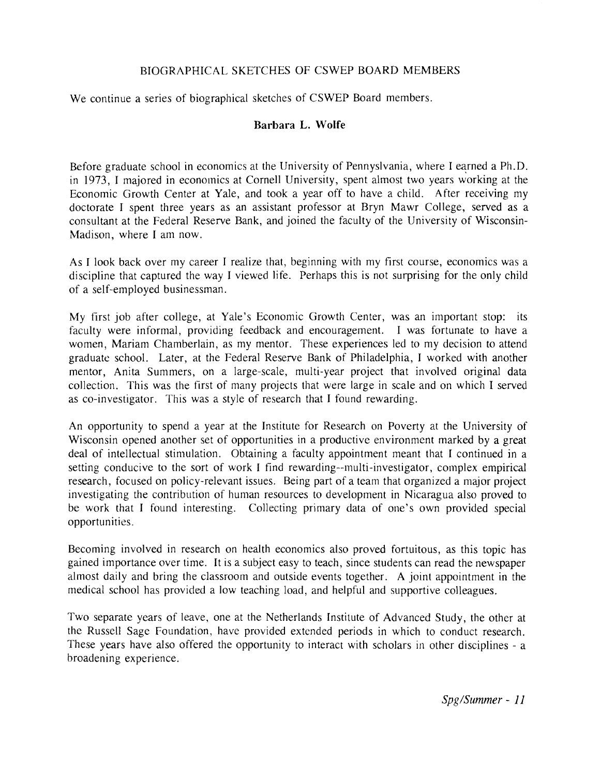# BIOGRAPHICAL SKETCHES OF CSWEP BOARD MEMBERS

We continue a series of biographical sketches of CSWEP Board members.

# **Barbara L. Wolfe**

Before graduate school in economics at the University of Pennyslvania, where I earned a Ph.D. in 1973, 1 majored in economics at Cornell University, spent almost two years working at the Economic Growth Center at Yale, and took a year off to have a child. After receiving my doctorate I spent three years as an assistant professor at Bryn Mawr College, served as a consultant at the Federal Reserve Bank, and joined the faculty of the University of Wisconsin-Madison, where I am now.

As I look back over my career I realize that, beginning with my first course, economics was a discipline that captured the way I viewed life. Perhaps this is not surprising for the only child of a self-employed businessman.

My first job after college, at Yale's Economic Growth Center, was an important stop: its faculty were informal, providing feedback and encouragement. I was fortunate to have a women, Mariam Chamberlain, as my mentor. These experiences led to my decision to attend graduate school. Later, at the Federal Reserve Bank of Philadelphia, I worked with another mentor, Anita Summers, on a large-scale, multi-year project that involved original data collection. This was the first of many projects that were large in scale and on which I served as co-investigator. This was a style of research that I found rewarding.

An opportunity to spend a year at the Institute for Research on Poverty at the University of Wisconsin opened another set of opportunities in a productive environment marked by a great deal of intellectual stimulation. Obtaining a faculty appointment meant that I continued in a setting conducive to the sort of work I find rewarding--multi-investigator, complex empirical research, focused on policy-relevant issues. Being part of a team that organized a major project investigating the contribution of human resources to development in Nicaragua also proved to be work that I found interesting. Collecting primary data of one's own provided special opportunities.

Becoming involved in research on health economics also proved fortuitous, as this topic has gained importance over time. It is a subject easy to teach, since students can read the newspaper almost daily and bring the classroom and outside events together. **A** joint appointment in the medical school has provided a low teaching load, and helpful and supportive colleagues.

Two separate years of leave, one at the Netherlands Institute of Advanced Study, the other at the Russell Sage Foundation, have provided extended periods in which to conduct research. These years have also offered the opportunity to interact with scholars in other disciplines - a broadening experience.

 $Spg/Summer - 11$